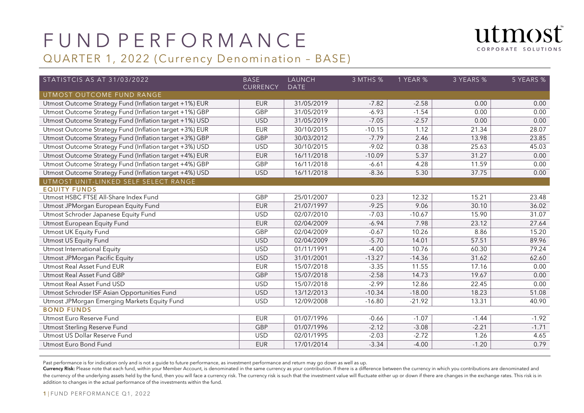

### QUARTER 1, 2022 (Currency Denomination – BASE)

| STATISTCIS AS AT 31/03/2022                             | <b>BASE</b>     | LAUNCH      | 3 MTHS % | 1 YEAR % | 3 YEARS % | 5 YEARS % |
|---------------------------------------------------------|-----------------|-------------|----------|----------|-----------|-----------|
| UTMOST OUTCOME FUND RANGE                               | <b>CURRENCY</b> | <b>DATE</b> |          |          |           |           |
| Utmost Outcome Strategy Fund (Inflation target +1%) EUR | <b>EUR</b>      | 31/05/2019  | $-7.82$  | $-2.58$  | 0.00      | 0.00      |
| Utmost Outcome Strategy Fund (Inflation target +1%) GBP | <b>GBP</b>      | 31/05/2019  | $-6.93$  | $-1.54$  | 0.00      | 0.00      |
| Utmost Outcome Strategy Fund (Inflation target +1%) USD | <b>USD</b>      | 31/05/2019  | $-7.05$  | $-2.57$  | 0.00      | 0.00      |
| Utmost Outcome Strategy Fund (Inflation target +3%) EUR | <b>EUR</b>      | 30/10/2015  | $-10.15$ | 1.12     | 21.34     | 28.07     |
| Utmost Outcome Strategy Fund (Inflation target +3%) GBP | <b>GBP</b>      | 30/03/2012  | $-7.79$  | 2.46     | 13.98     | 23.85     |
| Utmost Outcome Strategy Fund (Inflation target +3%) USD | <b>USD</b>      | 30/10/2015  | $-9.02$  | 0.38     | 25.63     | 45.03     |
| Utmost Outcome Strategy Fund (Inflation target +4%) EUR | <b>EUR</b>      | 16/11/2018  | $-10.09$ | 5.37     | 31.27     | 0.00      |
| Utmost Outcome Strategy Fund (Inflation target +4%) GBP | <b>GBP</b>      | 16/11/2018  | $-6.61$  | 4.28     | 11.59     | 0.00      |
| Utmost Outcome Strategy Fund (Inflation target +4%) USD | <b>USD</b>      | 16/11/2018  | $-8.36$  | 5.30     | 37.75     | 0.00      |
| UTMOST UNIT-LINKED SELF SELECT RANGE                    |                 |             |          |          |           |           |
| <b>EQUITY FUNDS</b>                                     |                 |             |          |          |           |           |
| Utmost HSBC FTSE All-Share Index Fund                   | <b>GBP</b>      | 25/01/2007  | 0.23     | 12.32    | 15.21     | 23.48     |
| Utmost JPMorgan European Equity Fund                    | <b>EUR</b>      | 21/07/1997  | $-9.25$  | 9.06     | 30.10     | 36.02     |
| Utmost Schroder Japanese Equity Fund                    | <b>USD</b>      | 02/07/2010  | $-7.03$  | $-10.67$ | 15.90     | 31.07     |
| Utmost European Equity Fund                             | <b>EUR</b>      | 02/04/2009  | $-6.94$  | 7.98     | 23.12     | 27.64     |
| Utmost UK Equity Fund                                   | <b>GBP</b>      | 02/04/2009  | $-0.67$  | 10.26    | 8.86      | 15.20     |
| Utmost US Equity Fund                                   | <b>USD</b>      | 02/04/2009  | $-5.70$  | 14.01    | 57.51     | 89.96     |
| Utmost International Equity                             | <b>USD</b>      | 01/11/1991  | $-4.00$  | 10.76    | 60.30     | 79.24     |
| Utmost JPMorgan Pacific Equity                          | <b>USD</b>      | 31/01/2001  | $-13.27$ | $-14.36$ | 31.62     | 62.60     |
| Utmost Real Asset Fund EUR                              | <b>EUR</b>      | 15/07/2018  | $-3.35$  | 11.55    | 17.16     | 0.00      |
| Utmost Real Asset Fund GBP                              | <b>GBP</b>      | 15/07/2018  | $-2.58$  | 14.73    | 19.67     | 0.00      |
| Utmost Real Asset Fund USD                              | <b>USD</b>      | 15/07/2018  | $-2.99$  | 12.86    | 22.45     | 0.00      |
| Utmost Schroder ISF Asian Opportunities Fund            | <b>USD</b>      | 13/12/2013  | $-10.34$ | $-18.00$ | 18.23     | 51.08     |
| Utmost JPMorgan Emerging Markets Equity Fund            | <b>USD</b>      | 12/09/2008  | $-16.80$ | $-21.92$ | 13.31     | 40.90     |
| <b>BOND FUNDS</b>                                       |                 |             |          |          |           |           |
| Utmost Euro Reserve Fund                                | <b>EUR</b>      | 01/07/1996  | $-0.66$  | $-1.07$  | $-1.44$   | $-1.92$   |
| Utmost Sterling Reserve Fund                            | <b>GBP</b>      | 01/07/1996  | $-2.12$  | $-3.08$  | $-2.21$   | $-1.71$   |
| Utmost US Dollar Reserve Fund                           | <b>USD</b>      | 02/01/1995  | $-2.03$  | $-2.72$  | 1.26      | 4.65      |
| Utmost Euro Bond Fund                                   | <b>EUR</b>      | 17/01/2014  | $-3.34$  | $-4.00$  | $-1.20$   | 0.79      |

Past performance is for indication only and is not a guide to future performance, as investment performance and return may go down as well as up.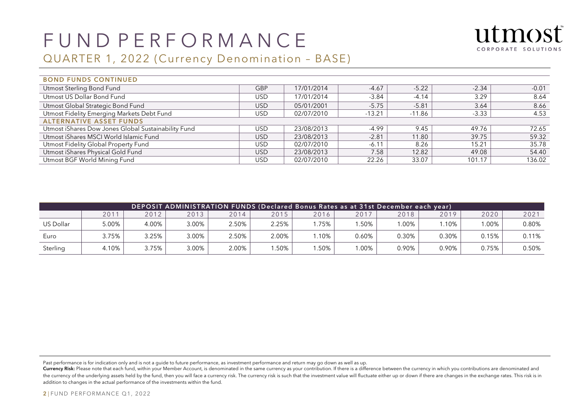

### QUARTER 1, 2022 (Currency Denomination – BASE)

| <b>BOND FUNDS CONTINUED</b>                         |            |            |          |          |         |         |  |  |  |  |  |
|-----------------------------------------------------|------------|------------|----------|----------|---------|---------|--|--|--|--|--|
| Utmost Sterling Bond Fund                           | <b>GBP</b> | 17/01/2014 | $-4.67$  | $-5.22$  | $-2.34$ | $-0.01$ |  |  |  |  |  |
| Utmost US Dollar Bond Fund                          | USD.       | 17/01/2014 | $-3.84$  | $-4.14$  | 3.29    | 8.64    |  |  |  |  |  |
| Utmost Global Strategic Bond Fund                   | USD.       | 05/01/2001 | $-5.75$  | $-5.81$  | 3.64    | 8.66    |  |  |  |  |  |
| Utmost Fidelity Emerging Markets Debt Fund          | USD.       | 02/07/2010 | $-13.21$ | $-11.86$ | $-3.33$ | 4.53    |  |  |  |  |  |
| <b>ALTERNATIVE ASSET FUNDS</b>                      |            |            |          |          |         |         |  |  |  |  |  |
| Utmost iShares Dow Jones Global Sustainability Fund | USD.       | 23/08/2013 | $-4.99$  | 9.45     | 49.76   | 72.65   |  |  |  |  |  |
| Utmost iShares MSCI World Islamic Fund              | USD.       | 23/08/2013 | $-2.81$  | 11.80    | 39.75   | 59.32   |  |  |  |  |  |
| Utmost Fidelity Global Property Fund                | USD.       | 02/07/2010 | $-6.11$  | 8.26     | 15.21   | 35.78   |  |  |  |  |  |
| Utmost iShares Physical Gold Fund                   | USD.       | 23/08/2013 | 7.58     | 12.82    | 49.08   | 54.40   |  |  |  |  |  |
| Utmost BGF World Mining Fund                        | USD        | 02/07/2010 | 22.26    | 33.07    | 101.17  | 136.02  |  |  |  |  |  |

| <mark> DEPOSIT ADMINISTRATION FUNDS (Declared Bonus Rates as at 31st December each year)</mark> |       |       |       |       |       |      |       |       |       |          |       |  |
|-------------------------------------------------------------------------------------------------|-------|-------|-------|-------|-------|------|-------|-------|-------|----------|-------|--|
|                                                                                                 | 2011  | 2012  | 2013  | 2014  | 2015  | 2016 | 2017  | 2018  | 2019  | 2020     | 2021  |  |
| US Dollar                                                                                       | 5.00% | 4.00% | 3.00% | 2.50% | 2.25% | .75% | .50%  | .00%  | .10%  | $0.00\%$ | 0.80% |  |
| Euro                                                                                            | 3.75% | 3.25% | 3.00% | 2.50% | 2.00% | .10% | 0.60% | 0.30% | 0.30% | 0.15%    | 0.11% |  |
| Sterling                                                                                        | 4.10% | 3.75% | 3.00% | 2.00% | .50%  | .50% | .00%  | 0.90% | 0.90% | 0.75%    | 0.50% |  |

Past performance is for indication only and is not a guide to future performance, as investment performance and return may go down as well as up.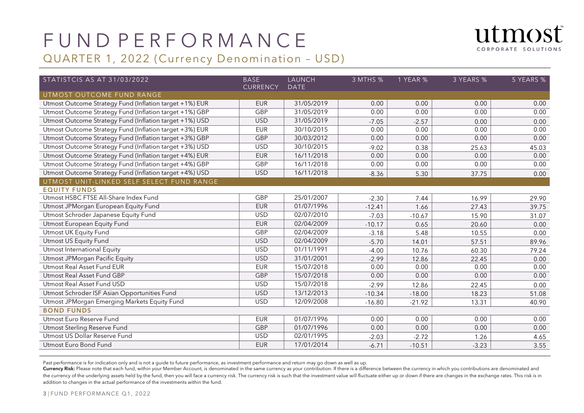



| STATISTCIS AS AT 31/03/2022                             | <b>BASE</b>     | LAUNCH      | 3 MTHS % | 1 YEAR % | 3 YEARS % | 5 YEARS % |
|---------------------------------------------------------|-----------------|-------------|----------|----------|-----------|-----------|
| UTMOST OUTCOME FUND RANGE                               | <b>CURRENCY</b> | <b>DATE</b> |          |          |           |           |
| Utmost Outcome Strategy Fund (Inflation target +1%) EUR | <b>EUR</b>      | 31/05/2019  | 0.00     | 0.00     | 0.00      | 0.00      |
| Utmost Outcome Strategy Fund (Inflation target +1%) GBP | GBP             | 31/05/2019  | 0.00     | 0.00     | 0.00      | 0.00      |
| Utmost Outcome Strategy Fund (Inflation target +1%) USD | <b>USD</b>      | 31/05/2019  | $-7.05$  | $-2.57$  | 0.00      | 0.00      |
| Utmost Outcome Strategy Fund (Inflation target +3%) EUR | <b>EUR</b>      | 30/10/2015  | 0.00     | 0.00     | 0.00      | 0.00      |
| Utmost Outcome Strategy Fund (Inflation target +3%) GBP | <b>GBP</b>      | 30/03/2012  | 0.00     | 0.00     | 0.00      | 0.00      |
| Utmost Outcome Strategy Fund (Inflation target +3%) USD | <b>USD</b>      | 30/10/2015  | $-9.02$  | 0.38     | 25.63     | 45.03     |
| Utmost Outcome Strategy Fund (Inflation target +4%) EUR | <b>EUR</b>      | 16/11/2018  | 0.00     | 0.00     | 0.00      | 0.00      |
| Utmost Outcome Strategy Fund (Inflation target +4%) GBP | <b>GBP</b>      | 16/11/2018  | 0.00     | 0.00     | 0.00      | 0.00      |
| Utmost Outcome Strategy Fund (Inflation target +4%) USD | <b>USD</b>      | 16/11/2018  | $-8.36$  | 5.30     | 37.75     | 0.00      |
| UTMOST UNIT-LINKED SELF SELECT FUND RANGE               |                 |             |          |          |           |           |
| <b>EQUITY FUNDS</b>                                     |                 |             |          |          |           |           |
| Utmost HSBC FTSE All-Share Index Fund                   | GBP             | 25/01/2007  | $-2.30$  | 7.44     | 16.99     | 29.90     |
| Utmost JPMorgan European Equity Fund                    | <b>EUR</b>      | 01/07/1996  | $-12.41$ | 1.66     | 27.43     | 39.75     |
| Utmost Schroder Japanese Equity Fund                    | <b>USD</b>      | 02/07/2010  | $-7.03$  | $-10.67$ | 15.90     | 31.07     |
| Utmost European Equity Fund                             | <b>EUR</b>      | 02/04/2009  | $-10.17$ | 0.65     | 20.60     | 0.00      |
| Utmost UK Equity Fund                                   | GBP             | 02/04/2009  | $-3.18$  | 5.48     | 10.55     | 0.00      |
| Utmost US Equity Fund                                   | <b>USD</b>      | 02/04/2009  | $-5.70$  | 14.01    | 57.51     | 89.96     |
| Utmost International Equity                             | <b>USD</b>      | 01/11/1991  | $-4.00$  | 10.76    | 60.30     | 79.24     |
| Utmost JPMorgan Pacific Equity                          | <b>USD</b>      | 31/01/2001  | $-2.99$  | 12.86    | 22.45     | 0.00      |
| Utmost Real Asset Fund EUR                              | <b>EUR</b>      | 15/07/2018  | 0.00     | 0.00     | 0.00      | 0.00      |
| Utmost Real Asset Fund GBP                              | <b>GBP</b>      | 15/07/2018  | 0.00     | 0.00     | 0.00      | 0.00      |
| Utmost Real Asset Fund USD                              | <b>USD</b>      | 15/07/2018  | $-2.99$  | 12.86    | 22.45     | 0.00      |
| Utmost Schroder ISF Asian Opportunities Fund            | <b>USD</b>      | 13/12/2013  | $-10.34$ | $-18.00$ | 18.23     | 51.08     |
| Utmost JPMorgan Emerging Markets Equity Fund            | <b>USD</b>      | 12/09/2008  | $-16.80$ | $-21.92$ | 13.31     | 40.90     |
| <b>BOND FUNDS</b>                                       |                 |             |          |          |           |           |
| Utmost Euro Reserve Fund                                | <b>EUR</b>      | 01/07/1996  | 0.00     | 0.00     | 0.00      | 0.00      |
| Utmost Sterling Reserve Fund                            | <b>GBP</b>      | 01/07/1996  | 0.00     | 0.00     | 0.00      | 0.00      |
| Utmost US Dollar Reserve Fund                           | <b>USD</b>      | 02/01/1995  | $-2.03$  | $-2.72$  | 1.26      | 4.65      |
| Utmost Euro Bond Fund                                   | <b>EUR</b>      | 17/01/2014  | $-6.71$  | $-10.51$ | $-3.23$   | 3.55      |

Past performance is for indication only and is not a guide to future performance, as investment performance and return may go down as well as up.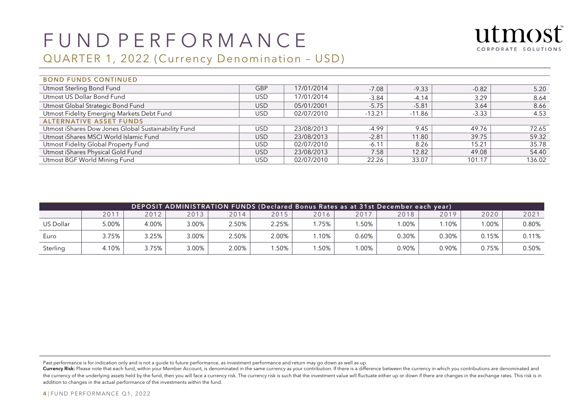

### QUARTER 1, 2022 (Currency Denomination – USD)

| <b>BOND FUNDS CONTINUED</b>                         |            |            |          |          |         |        |  |  |  |  |  |
|-----------------------------------------------------|------------|------------|----------|----------|---------|--------|--|--|--|--|--|
| Utmost Sterling Bond Fund                           | <b>GBP</b> | 17/01/2014 | $-7.08$  | $-9.33$  | $-0.82$ | 5.20   |  |  |  |  |  |
| Utmost US Dollar Bond Fund                          | USD.       | 17/01/2014 | $-3.84$  | $-4.14$  | 3.29    | 8.64   |  |  |  |  |  |
| Utmost Global Strategic Bond Fund                   | <b>USD</b> | 05/01/2001 | $-5.75$  | $-5.81$  | 3.64    | 8.66   |  |  |  |  |  |
| Utmost Fidelity Emerging Markets Debt Fund          | USD        | 02/07/2010 | $-13.21$ | $-11.86$ | $-3.33$ | 4.53   |  |  |  |  |  |
| <b>ALTERNATIVE ASSET FUNDS</b>                      |            |            |          |          |         |        |  |  |  |  |  |
| Utmost iShares Dow Jones Global Sustainability Fund | USD        | 23/08/2013 | -4.99    | 9.45     | 49.76   | 72.65  |  |  |  |  |  |
| Utmost iShares MSCI World Islamic Fund              | <b>USD</b> | 23/08/2013 | $-2.81$  | 11.80    | 39.75   | 59.32  |  |  |  |  |  |
| Utmost Fidelity Global Property Fund                | USD.       | 02/07/2010 | $-6.11$  | 8.26     | 15.21   | 35.78  |  |  |  |  |  |
| Utmost iShares Physical Gold Fund                   | USD.       | 23/08/2013 | 7.58     | 12.82    | 49.08   | 54.40  |  |  |  |  |  |
| Utmost BGF World Mining Fund                        | USD        | 02/07/2010 | 22.26    | 33.07    | 101.17  | 136.02 |  |  |  |  |  |

| DEPOSIT ADMINISTRATION FUNDS (Declared Bonus Rates as at 31st December each year), |       |       |          |       |       |      |       |         |       |          |       |  |
|------------------------------------------------------------------------------------|-------|-------|----------|-------|-------|------|-------|---------|-------|----------|-------|--|
|                                                                                    | 2011  | 2012  | 2013     | 2014  | 2015  | 2016 | 2017  | 2018    | 2019  | 2020     | 2021  |  |
| <b>US Dollar</b>                                                                   | 5.00% | 4.00% | $3.00\%$ | 2.50% | 2.25% | .75% | .50%  | $.00\%$ | .10%  | $0.00\%$ | 0.80% |  |
| Euro                                                                               | 3.75% | 3.25% | 3.00%    | 2.50% | 2.00% | .10% | 0.60% | 0.30%   | 0.30% | 0.15%    | 0.11% |  |
| Sterling                                                                           | 4.10% | 3.75% | 3.00%    | 2.00% | .50%  | .50% | .00%  | 0.90%   | 0.90% | 0.75%    | 0.50% |  |

Past performance is for indication only and is not a guide to future performance, as investment performance and return may go down as well as up.

Currency Risk: Please note that each fund, within your Member Account, is denominated in the same currency as your contribution. If there is a difference between the currency in which you contributions are denominated and the currency of the underlying assets held by the fund, then you will face a currency risk. The currency risk is such that the investment value will fluctuate either up or down if there are changes in the exchange rates. T addition to changes in the actual performance of the investments within the fund.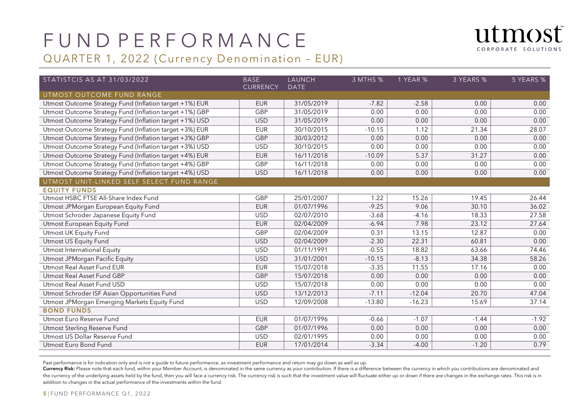



| STATISTCIS AS AT 31/03/2022                             | <b>BASE</b><br><b>CURRENCY</b> | LAUNCH<br><b>DATE</b> | 3 MTHS % | 1 YEAR % | 3 YEARS % | 5 YEARS % |
|---------------------------------------------------------|--------------------------------|-----------------------|----------|----------|-----------|-----------|
| UTMOST OUTCOME FUND RANGE                               |                                |                       |          |          |           |           |
| Utmost Outcome Strategy Fund (Inflation target +1%) EUR | <b>EUR</b>                     | 31/05/2019            | $-7.82$  | $-2.58$  | 0.00      | 0.00      |
| Utmost Outcome Strategy Fund (Inflation target +1%) GBP | GBP                            | 31/05/2019            | 0.00     | 0.00     | 0.00      | 0.00      |
| Utmost Outcome Strategy Fund (Inflation target +1%) USD | <b>USD</b>                     | 31/05/2019            | 0.00     | 0.00     | 0.00      | 0.00      |
| Utmost Outcome Strategy Fund (Inflation target +3%) EUR | <b>EUR</b>                     | 30/10/2015            | $-10.15$ | 1.12     | 21.34     | 28.07     |
| Utmost Outcome Strategy Fund (Inflation target +3%) GBP | <b>GBP</b>                     | 30/03/2012            | 0.00     | 0.00     | 0.00      | 0.00      |
| Utmost Outcome Strategy Fund (Inflation target +3%) USD | <b>USD</b>                     | 30/10/2015            | 0.00     | 0.00     | 0.00      | 0.00      |
| Utmost Outcome Strategy Fund (Inflation target +4%) EUR | <b>EUR</b>                     | 16/11/2018            | $-10.09$ | 5.37     | 31.27     | 0.00      |
| Utmost Outcome Strategy Fund (Inflation target +4%) GBP | <b>GBP</b>                     | 16/11/2018            | 0.00     | 0.00     | 0.00      | 0.00      |
| Utmost Outcome Strategy Fund (Inflation target +4%) USD | <b>USD</b>                     | 16/11/2018            | 0.00     | 0.00     | 0.00      | 0.00      |
| UTMOST UNIT-LINKED SELF SELECT FUND RANGE               |                                |                       |          |          |           |           |
| <b>EQUITY FUNDS</b>                                     |                                |                       |          |          |           |           |
| Utmost HSBC FTSE All-Share Index Fund                   | GBP                            | 25/01/2007            | 1.22     | 15.26    | 19.45     | 26.44     |
| Utmost JPMorgan European Equity Fund                    | <b>EUR</b>                     | 01/07/1996            | $-9.25$  | 9.06     | 30.10     | 36.02     |
| Utmost Schroder Japanese Equity Fund                    | <b>USD</b>                     | 02/07/2010            | $-3.68$  | $-4.16$  | 18.33     | 27.58     |
| Utmost European Equity Fund                             | <b>EUR</b>                     | 02/04/2009            | $-6.94$  | 7.98     | 23.12     | 27.64     |
| Utmost UK Equity Fund                                   | GBP                            | 02/04/2009            | 0.31     | 13.15    | 12.87     | 0.00      |
| Utmost US Equity Fund                                   | <b>USD</b>                     | 02/04/2009            | $-2.30$  | 22.31    | 60.81     | 0.00      |
| Utmost International Equity                             | <b>USD</b>                     | 01/11/1991            | $-0.55$  | 18.82    | 63.66     | 74.46     |
| Utmost JPMorgan Pacific Equity                          | <b>USD</b>                     | 31/01/2001            | $-10.15$ | $-8.13$  | 34.38     | 58.26     |
| Utmost Real Asset Fund EUR                              | <b>EUR</b>                     | 15/07/2018            | $-3.35$  | 11.55    | 17.16     | 0.00      |
| Utmost Real Asset Fund GBP                              | GBP                            | 15/07/2018            | 0.00     | 0.00     | 0.00      | 0.00      |
| Utmost Real Asset Fund USD                              | <b>USD</b>                     | 15/07/2018            | 0.00     | 0.00     | 0.00      | 0.00      |
| Utmost Schroder ISF Asian Opportunities Fund            | <b>USD</b>                     | 13/12/2013            | $-7.11$  | $-12.04$ | 20.70     | 47.04     |
| Utmost JPMorgan Emerging Markets Equity Fund            | <b>USD</b>                     | 12/09/2008            | $-13.80$ | $-16.23$ | 15.69     | 37.14     |
| <b>BOND FUNDS</b>                                       |                                |                       |          |          |           |           |
| Utmost Euro Reserve Fund                                | <b>EUR</b>                     | 01/07/1996            | $-0.66$  | $-1.07$  | $-1.44$   | $-1.92$   |
| Utmost Sterling Reserve Fund                            | <b>GBP</b>                     | 01/07/1996            | 0.00     | 0.00     | 0.00      | 0.00      |
| Utmost US Dollar Reserve Fund                           | <b>USD</b>                     | 02/01/1995            | 0.00     | 0.00     | 0.00      | 0.00      |
| Utmost Euro Bond Fund                                   | <b>EUR</b>                     | 17/01/2014            | $-3.34$  | $-4.00$  | $-1.20$   | 0.79      |

Past performance is for indication only and is not a guide to future performance, as investment performance and return may go down as well as up.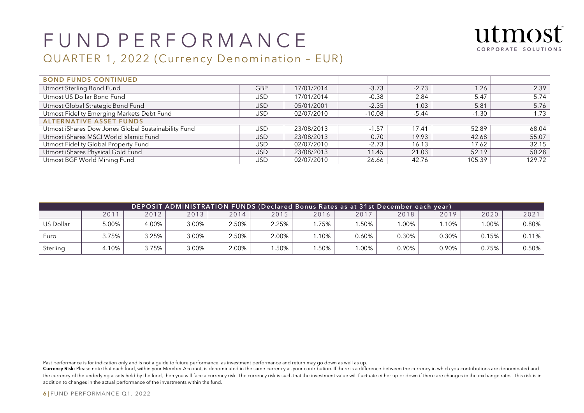

#### QUARTER 1, 2022 (Currency Denomination – EUR)

| <b>BOND FUNDS CONTINUED</b>                         |            |            |          |         |         |        |
|-----------------------------------------------------|------------|------------|----------|---------|---------|--------|
| Utmost Sterling Bond Fund                           | <b>GBP</b> | 17/01/2014 | $-3.73$  | $-2.73$ | 1.26    | 2.39   |
| Utmost US Dollar Bond Fund                          | <b>USD</b> | 17/01/2014 | $-0.38$  | 2.84    | 5.47    | 5.74   |
| Utmost Global Strategic Bond Fund                   | USD.       | 05/01/2001 | $-2.35$  | 1.03    | 5.81    | 5.76   |
| Utmost Fidelity Emerging Markets Debt Fund          | <b>USD</b> | 02/07/2010 | $-10.08$ | $-5.44$ | $-1.30$ | 1.73   |
| <b>ALTERNATIVE ASSET FUNDS</b>                      |            |            |          |         |         |        |
| Utmost iShares Dow Jones Global Sustainability Fund | <b>USD</b> | 23/08/2013 | $-1.57$  | 17.41   | 52.89   | 68.04  |
| Utmost iShares MSCI World Islamic Fund              | <b>USD</b> | 23/08/2013 | 0.70     | 19.93   | 42.68   | 55.07  |
| Utmost Fidelity Global Property Fund                | <b>USD</b> | 02/07/2010 | $-2.73$  | 16.13   | 17.62   | 32.15  |
| Utmost iShares Physical Gold Fund                   | USD.       | 23/08/2013 | 11.45    | 21.03   | 52.19   | 50.28  |
| Utmost BGF World Mining Fund                        | <b>USD</b> | 02/07/2010 | 26.66    | 42.76   | 105.39  | 129.72 |

| DEPOSIT ADMINISTRATION FUNDS (Declared Bonus Rates as at 31st December each year), |       |       |       |       |       |      |       |       |       |        |       |  |
|------------------------------------------------------------------------------------|-------|-------|-------|-------|-------|------|-------|-------|-------|--------|-------|--|
|                                                                                    | 2011  | 2012  | 2013  | 2014  | 2015  | 2016 | 2017  | 2018  | 2019  | 2020   | 2021  |  |
| US Dollar                                                                          | 5.00% | 4.00% | 3.00% | 2.50% | 2.25% | .75% | .50%  | .00%  | .10%  | $00\%$ | 0.80% |  |
| Euro                                                                               | 3.75% | 3.25% | 3.00% | 2.50% | 2.00% | .10% | 0.60% | 0.30% | 0.30% | 0.15%  | 0.11% |  |
| Sterling                                                                           | 4.10% | 3.75% | 3.00% | 2.00% | .50%  | .50% | .00%  | 0.90% | 0.90% | 0.75%  | 0.50% |  |

Past performance is for indication only and is not a guide to future performance, as investment performance and return may go down as well as up.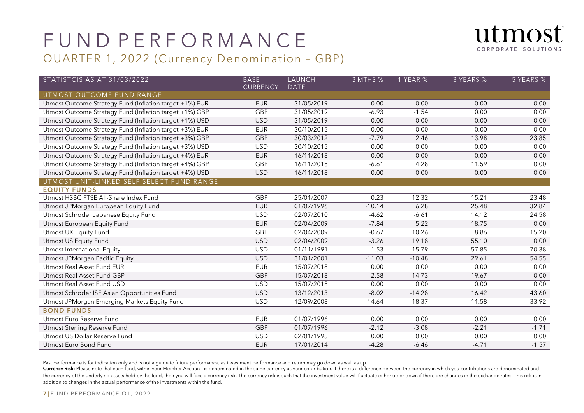

| utmost              |  |
|---------------------|--|
| CORPORATE SOLUTIONS |  |

| STATISTCIS AS AT 31/03/2022                             | <b>BASE</b><br><b>CURRENCY</b> | LAUNCH<br><b>DATE</b> | 3 MTHS % | 1 YEAR % | 3 YEARS % | 5 YEARS % |
|---------------------------------------------------------|--------------------------------|-----------------------|----------|----------|-----------|-----------|
| UTMOST OUTCOME FUND RANGE                               |                                |                       |          |          |           |           |
| Utmost Outcome Strategy Fund (Inflation target +1%) EUR | <b>EUR</b>                     | 31/05/2019            | 0.00     | 0.00     | 0.00      | 0.00      |
| Utmost Outcome Strategy Fund (Inflation target +1%) GBP | GBP                            | 31/05/2019            | $-6.93$  | $-1.54$  | 0.00      | 0.00      |
| Utmost Outcome Strategy Fund (Inflation target +1%) USD | $\overline{USD}$               | 31/05/2019            | 0.00     | 0.00     | 0.00      | 0.00      |
| Utmost Outcome Strategy Fund (Inflation target +3%) EUR | <b>EUR</b>                     | 30/10/2015            | 0.00     | 0.00     | 0.00      | 0.00      |
| Utmost Outcome Strategy Fund (Inflation target +3%) GBP | <b>GBP</b>                     | 30/03/2012            | $-7.79$  | 2.46     | 13.98     | 23.85     |
| Utmost Outcome Strategy Fund (Inflation target +3%) USD | <b>USD</b>                     | 30/10/2015            | 0.00     | 0.00     | 0.00      | 0.00      |
| Utmost Outcome Strategy Fund (Inflation target +4%) EUR | <b>EUR</b>                     | 16/11/2018            | 0.00     | 0.00     | 0.00      | 0.00      |
| Utmost Outcome Strategy Fund (Inflation target +4%) GBP | GBP                            | 16/11/2018            | $-6.61$  | 4.28     | 11.59     | 0.00      |
| Utmost Outcome Strategy Fund (Inflation target +4%) USD | <b>USD</b>                     | 16/11/2018            | 0.00     | 0.00     | 0.00      | 0.00      |
| UTMOST UNIT-LINKED SELF SELECT FUND RANGE               |                                |                       |          |          |           |           |
| <b>EQUITY FUNDS</b>                                     |                                |                       |          |          |           |           |
| Utmost HSBC FTSE All-Share Index Fund                   | <b>GBP</b>                     | 25/01/2007            | 0.23     | 12.32    | 15.21     | 23.48     |
| Utmost JPMorgan European Equity Fund                    | <b>EUR</b>                     | 01/07/1996            | $-10.14$ | 6.28     | 25.48     | 32.84     |
| Utmost Schroder Japanese Equity Fund                    | <b>USD</b>                     | 02/07/2010            | $-4.62$  | $-6.61$  | 14.12     | 24.58     |
| Utmost European Equity Fund                             | <b>EUR</b>                     | 02/04/2009            | $-7.84$  | 5.22     | 18.75     | 0.00      |
| Utmost UK Equity Fund                                   | <b>GBP</b>                     | 02/04/2009            | $-0.67$  | 10.26    | 8.86      | 15.20     |
| Utmost US Equity Fund                                   | <b>USD</b>                     | 02/04/2009            | $-3.26$  | 19.18    | 55.10     | 0.00      |
| Utmost International Equity                             | <b>USD</b>                     | 01/11/1991            | $-1.53$  | 15.79    | 57.85     | 70.38     |
| Utmost JPMorgan Pacific Equity                          | <b>USD</b>                     | 31/01/2001            | $-11.03$ | $-10.48$ | 29.61     | 54.55     |
| Utmost Real Asset Fund EUR                              | <b>EUR</b>                     | 15/07/2018            | 0.00     | 0.00     | 0.00      | 0.00      |
| Utmost Real Asset Fund GBP                              | <b>GBP</b>                     | 15/07/2018            | $-2.58$  | 14.73    | 19.67     | 0.00      |
| Utmost Real Asset Fund USD                              | <b>USD</b>                     | 15/07/2018            | 0.00     | 0.00     | 0.00      | 0.00      |
| Utmost Schroder ISF Asian Opportunities Fund            | <b>USD</b>                     | 13/12/2013            | $-8.02$  | $-14.28$ | 16.42     | 43.60     |
| Utmost JPMorgan Emerging Markets Equity Fund            | <b>USD</b>                     | 12/09/2008            | $-14.64$ | $-18.37$ | 11.58     | 33.92     |
| <b>BOND FUNDS</b>                                       |                                |                       |          |          |           |           |
| Utmost Euro Reserve Fund                                | <b>EUR</b>                     | 01/07/1996            | 0.00     | 0.00     | 0.00      | 0.00      |
| Utmost Sterling Reserve Fund                            | <b>GBP</b>                     | 01/07/1996            | $-2.12$  | $-3.08$  | $-2.21$   | $-1.71$   |
| Utmost US Dollar Reserve Fund                           | <b>USD</b>                     | 02/01/1995            | 0.00     | 0.00     | 0.00      | 0.00      |
| Utmost Euro Bond Fund                                   | <b>EUR</b>                     | 17/01/2014            | $-4.28$  | $-6.46$  | $-4.71$   | $-1.57$   |

Past performance is for indication only and is not a guide to future performance, as investment performance and return may go down as well as up.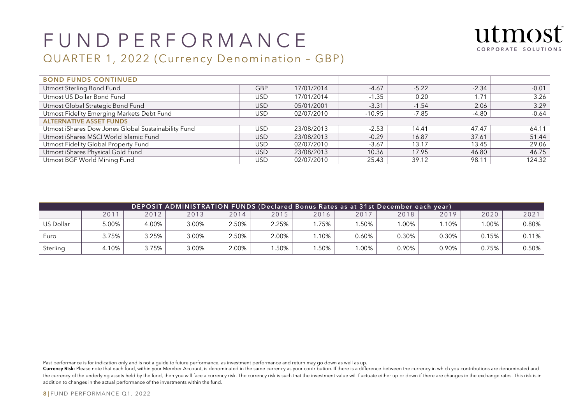

### QUARTER 1, 2022 (Currency Denomination – GBP)

| <b>BOND FUNDS CONTINUED</b>                         |            |            |          |         |         |         |
|-----------------------------------------------------|------------|------------|----------|---------|---------|---------|
| Utmost Sterling Bond Fund                           | <b>GBP</b> | 17/01/2014 | $-4.67$  | $-5.22$ | $-2.34$ | $-0.01$ |
| Utmost US Dollar Bond Fund                          | USD        | 17/01/2014 | $-1.35$  | 0.20    | 1.71    | 3.26    |
| Utmost Global Strategic Bond Fund                   | USD.       | 05/01/2001 | $-3.31$  | $-1.54$ | 2.06    | 3.29    |
| Utmost Fidelity Emerging Markets Debt Fund          | USD        | 02/07/2010 | $-10.95$ | $-7.85$ | -4.80   | $-0.64$ |
| <b>ALTERNATIVE ASSET FUNDS</b>                      |            |            |          |         |         |         |
| Utmost iShares Dow Jones Global Sustainability Fund | USD.       | 23/08/2013 | $-2.53$  | 14.41   | 47.47   | 64.11   |
| Utmost iShares MSCI World Islamic Fund              | <b>USD</b> | 23/08/2013 | $-0.29$  | 16.87   | 37.61   | 51.44   |
| Utmost Fidelity Global Property Fund                | USD.       | 02/07/2010 | $-3.67$  | 13.17   | 13.45   | 29.06   |
| Utmost iShares Physical Gold Fund                   | USD.       | 23/08/2013 | 10.36    | 17.95   | 46.80   | 46.75   |
| Utmost BGF World Mining Fund                        | USD        | 02/07/2010 | 25.43    | 39.12   | 98.11   | 124.32  |

| [DEPOSIT ADMINISTRATION FUNDS (Declared Bonus Rates as at 31st December each year); |                  |       |       |       |       |      |       |         |       |        |       |
|-------------------------------------------------------------------------------------|------------------|-------|-------|-------|-------|------|-------|---------|-------|--------|-------|
|                                                                                     | 201 <sup>1</sup> | 2012  | 2013  | 2014  | 2015  | 2016 | 2017  | 2018    | 2019  | 2020   | 2021  |
| US Dollar                                                                           | 5.00%            | 4.00% | 3.00% | 2.50% | 2.25% | .75% | .50%  | $.00\%$ | .10%  | $00\%$ | 0.80% |
| Euro                                                                                | 3.75%            | 3.25% | 3.00% | 2.50% | 2.00% | .10% | 0.60% | 0.30%   | 0.30% | 0.15%  | 0.11% |
| Sterling                                                                            | 4.10%            | 3.75% | 3.00% | 2.00% | .50%  | .50% | .00%  | 0.90%   | 0.90% | 0.75%  | 0.50% |

Past performance is for indication only and is not a guide to future performance, as investment performance and return may go down as well as up.

Currency Risk: Please note that each fund, within your Member Account, is denominated in the same currency as your contribution. If there is a difference between the currency in which you contributions are denominated and the currency of the underlying assets held by the fund, then you will face a currency risk. The currency risk is such that the investment value will fluctuate either up or down if there are changes in the exchange rates. T addition to changes in the actual performance of the investments within the fund.